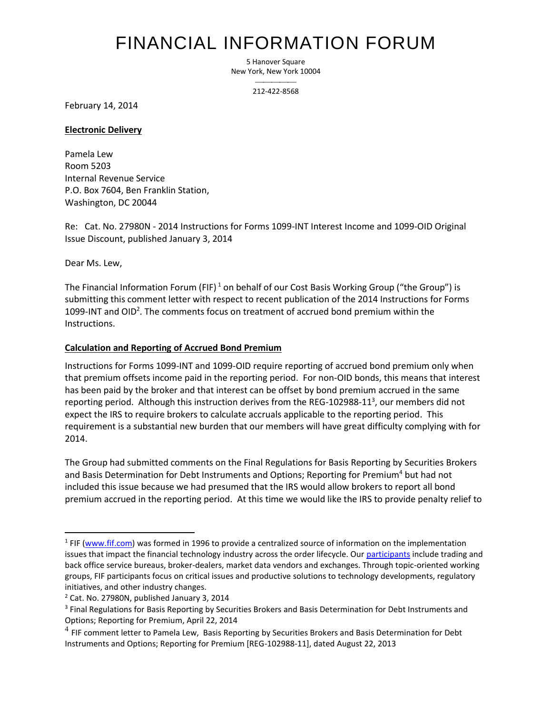# FINANCIAL INFORMATION FORUM

5 Hanover Square New York, New York 10004

> $\overline{\phantom{a}}$ 212-422-8568

February 14, 2014

#### **Electronic Delivery**

Pamela Lew Room 5203 Internal Revenue Service P.O. Box 7604, Ben Franklin Station, Washington, DC 20044

Re: Cat. No. 27980N - 2014 Instructions for Forms 1099-INT Interest Income and 1099-OID Original Issue Discount, published January 3, 2014

Dear Ms. Lew,

l

The Financial Information Forum (FIF)<sup>1</sup> on behalf of our Cost Basis Working Group ("the Group") is submitting this comment letter with respect to recent publication of the 2014 Instructions for Forms 1099-INT and OID<sup>2</sup>. The comments focus on treatment of accrued bond premium within the Instructions.

## **Calculation and Reporting of Accrued Bond Premium**

Instructions for Forms 1099-INT and 1099-OID require reporting of accrued bond premium only when that premium offsets income paid in the reporting period. For non-OID bonds, this means that interest has been paid by the broker and that interest can be offset by bond premium accrued in the same reporting period. Although this instruction derives from the REG-102988-11<sup>3</sup>, our members did not expect the IRS to require brokers to calculate accruals applicable to the reporting period. This requirement is a substantial new burden that our members will have great difficulty complying with for 2014.

The Group had submitted comments on the Final Regulations for Basis Reporting by Securities Brokers and Basis Determination for Debt Instruments and Options; Reporting for Premium<sup>4</sup> but had not included this issue because we had presumed that the IRS would allow brokers to report all bond premium accrued in the reporting period. At this time we would like the IRS to provide penalty relief to

<sup>&</sup>lt;sup>1</sup> FIF (www.fif.com) was formed in 1996 to provide a centralized source of information on the implementation issues that impact the financial technology industry across the order lifecycle. Ou[r participants](http://fif.com/members) include trading and back office service bureaus, broker-dealers, market data vendors and exchanges. Through topic-oriented working groups, FIF participants focus on critical issues and productive solutions to technology developments, regulatory initiatives, and other industry changes.

<sup>2</sup> Cat. No. 27980N, published January 3, 2014

<sup>&</sup>lt;sup>3</sup> Final Regulations for Basis Reporting by Securities Brokers and Basis Determination for Debt Instruments and Options; Reporting for Premium, April 22, 2014

 $^4$  FIF comment letter to Pamela Lew, Basis Reporting by Securities Brokers and Basis Determination for Debt Instruments and Options; Reporting for Premium [REG-102988-11], dated August 22, 2013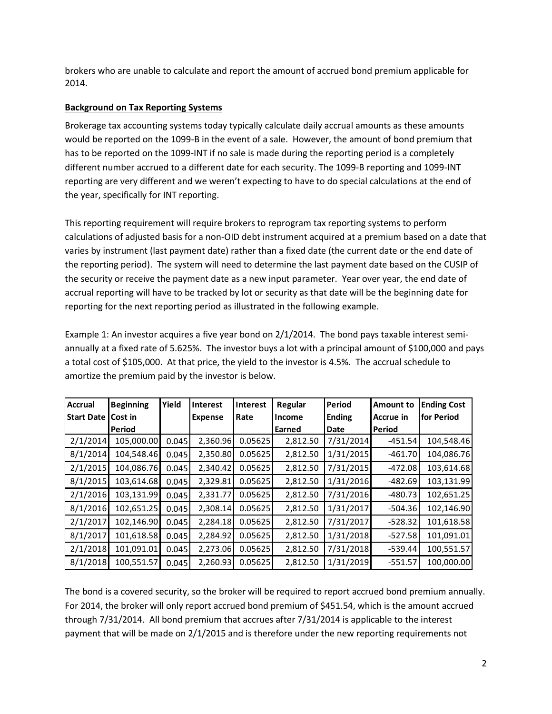brokers who are unable to calculate and report the amount of accrued bond premium applicable for 2014.

## **Background on Tax Reporting Systems**

Brokerage tax accounting systems today typically calculate daily accrual amounts as these amounts would be reported on the 1099-B in the event of a sale. However, the amount of bond premium that has to be reported on the 1099-INT if no sale is made during the reporting period is a completely different number accrued to a different date for each security. The 1099-B reporting and 1099-INT reporting are very different and we weren't expecting to have to do special calculations at the end of the year, specifically for INT reporting.

This reporting requirement will require brokers to reprogram tax reporting systems to perform calculations of adjusted basis for a non-OID debt instrument acquired at a premium based on a date that varies by instrument (last payment date) rather than a fixed date (the current date or the end date of the reporting period). The system will need to determine the last payment date based on the CUSIP of the security or receive the payment date as a new input parameter. Year over year, the end date of accrual reporting will have to be tracked by lot or security as that date will be the beginning date for reporting for the next reporting period as illustrated in the following example.

Example 1: An investor acquires a five year bond on 2/1/2014. The bond pays taxable interest semiannually at a fixed rate of 5.625%. The investor buys a lot with a principal amount of \$100,000 and pays a total cost of \$105,000. At that price, the yield to the investor is 4.5%. The accrual schedule to amortize the premium paid by the investor is below.

| <b>Accrual</b> | <b>Beginning</b> | Yield | <b>Interest</b> | <b>Interest</b> | Regular  | <b>Period</b> | <b>Amount to</b> | <b>Ending Cost</b> |
|----------------|------------------|-------|-----------------|-----------------|----------|---------------|------------------|--------------------|
| Start Date     | Cost in          |       | <b>Expense</b>  | Rate            | Income   | <b>Ending</b> | <b>Accrue in</b> | for Period         |
|                | Period           |       |                 |                 | Earned   | Date          | <b>Period</b>    |                    |
| 2/1/2014       | 105,000.00       | 0.045 | 2,360.96        | 0.05625         | 2,812.50 | 7/31/2014     | $-451.54$        | 104,548.46         |
| 8/1/2014       | 104,548.46       | 0.045 | 2,350.80        | 0.05625         | 2,812.50 | 1/31/2015     | $-461.70$        | 104,086.76         |
| 2/1/2015       | 104,086.76       | 0.045 | 2,340.42        | 0.05625         | 2,812.50 | 7/31/2015     | $-472.08$        | 103,614.68         |
| 8/1/2015       | 103,614.68       | 0.045 | 2,329.81        | 0.05625         | 2,812.50 | 1/31/2016     | $-482.69$        | 103,131.99         |
| 2/1/2016       | 103,131.99       | 0.045 | 2,331.77        | 0.05625         | 2,812.50 | 7/31/2016     | $-480.73$        | 102,651.25         |
| 8/1/2016       | 102,651.25       | 0.045 | 2,308.14        | 0.05625         | 2,812.50 | 1/31/2017     | $-504.36$        | 102,146.90         |
| 2/1/2017       | 102,146.90       | 0.045 | 2,284.18        | 0.05625         | 2,812.50 | 7/31/2017     | $-528.32$        | 101,618.58         |
| 8/1/2017       | 101,618.58       | 0.045 | 2,284.92        | 0.05625         | 2,812.50 | 1/31/2018     | $-527.58$        | 101,091.01         |
| 2/1/2018       | 101,091.01       | 0.045 | 2,273.06        | 0.05625         | 2,812.50 | 7/31/2018     | $-539.44$        | 100,551.57         |
| 8/1/2018       | 100,551.57       | 0.045 | 2,260.93        | 0.05625         | 2,812.50 | 1/31/2019     | $-551.57$        | 100,000.00         |

The bond is a covered security, so the broker will be required to report accrued bond premium annually. For 2014, the broker will only report accrued bond premium of \$451.54, which is the amount accrued through 7/31/2014. All bond premium that accrues after 7/31/2014 is applicable to the interest payment that will be made on 2/1/2015 and is therefore under the new reporting requirements not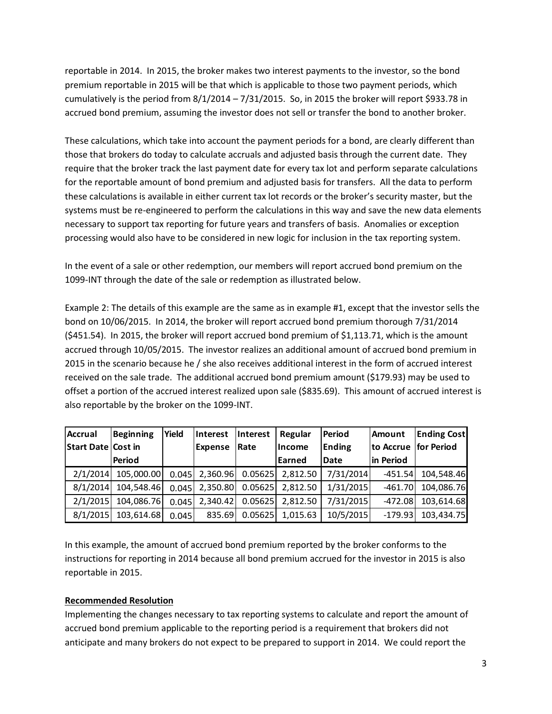reportable in 2014. In 2015, the broker makes two interest payments to the investor, so the bond premium reportable in 2015 will be that which is applicable to those two payment periods, which cumulatively is the period from  $8/1/2014 - 7/31/2015$ . So, in 2015 the broker will report \$933.78 in accrued bond premium, assuming the investor does not sell or transfer the bond to another broker.

These calculations, which take into account the payment periods for a bond, are clearly different than those that brokers do today to calculate accruals and adjusted basis through the current date. They require that the broker track the last payment date for every tax lot and perform separate calculations for the reportable amount of bond premium and adjusted basis for transfers. All the data to perform these calculations is available in either current tax lot records or the broker's security master, but the systems must be re-engineered to perform the calculations in this way and save the new data elements necessary to support tax reporting for future years and transfers of basis. Anomalies or exception processing would also have to be considered in new logic for inclusion in the tax reporting system.

In the event of a sale or other redemption, our members will report accrued bond premium on the 1099-INT through the date of the sale or redemption as illustrated below.

Example 2: The details of this example are the same as in example #1, except that the investor sells the bond on 10/06/2015. In 2014, the broker will report accrued bond premium thorough 7/31/2014 (\$451.54). In 2015, the broker will report accrued bond premium of \$1,113.71, which is the amount accrued through 10/05/2015. The investor realizes an additional amount of accrued bond premium in 2015 in the scenario because he / she also receives additional interest in the form of accrued interest received on the sale trade. The additional accrued bond premium amount (\$179.93) may be used to offset a portion of the accrued interest realized upon sale (\$835.69). This amount of accrued interest is also reportable by the broker on the 1099-INT.

| <b>Accrual</b>            | <b>Beginning</b> | Yield | <b>Interest</b> | Interest | Regular        | <b>Period</b> | <b>Amount</b>        | <b>Ending Cost</b> |
|---------------------------|------------------|-------|-----------------|----------|----------------|---------------|----------------------|--------------------|
| <b>Start Date Cost in</b> |                  |       | <b>Expense</b>  | Rate     | <b>Income</b>  | <b>Ending</b> | to Accrue for Period |                    |
|                           | Period           |       |                 |          | <b>Learned</b> | <b>Date</b>   | in Period            |                    |
| 2/1/2014                  | 105,000.00       | 0.045 | 2,360.96        | 0.05625  | 2,812.50       | 7/31/2014     | $-451.54$            | 104,548.46         |
| 8/1/2014                  | 104,548.46       | 0.045 | 2,350.80        | 0.05625  | 2,812.50       | 1/31/2015     | $-461.70$            | 104,086.76         |
| 2/1/2015                  | 104,086.76       | 0.045 | 2.340.42        | 0.05625  | 2.812.50       | 7/31/2015     | $-472.08$            | 103,614.68         |
| 8/1/2015                  | 103,614.68       | 0.045 | 835.69          | 0.05625  | 1,015.63       | 10/5/2015     | $-179.93$            | 103,434.75         |

In this example, the amount of accrued bond premium reported by the broker conforms to the instructions for reporting in 2014 because all bond premium accrued for the investor in 2015 is also reportable in 2015.

# **Recommended Resolution**

Implementing the changes necessary to tax reporting systems to calculate and report the amount of accrued bond premium applicable to the reporting period is a requirement that brokers did not anticipate and many brokers do not expect to be prepared to support in 2014. We could report the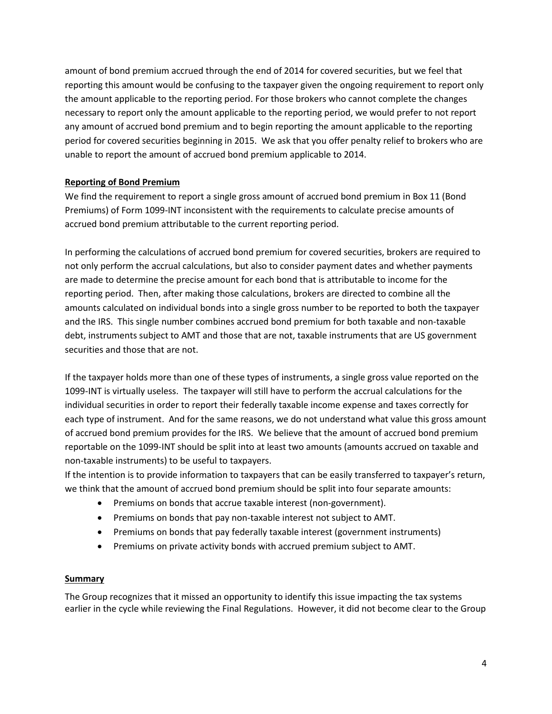amount of bond premium accrued through the end of 2014 for covered securities, but we feel that reporting this amount would be confusing to the taxpayer given the ongoing requirement to report only the amount applicable to the reporting period. For those brokers who cannot complete the changes necessary to report only the amount applicable to the reporting period, we would prefer to not report any amount of accrued bond premium and to begin reporting the amount applicable to the reporting period for covered securities beginning in 2015. We ask that you offer penalty relief to brokers who are unable to report the amount of accrued bond premium applicable to 2014.

# **Reporting of Bond Premium**

We find the requirement to report a single gross amount of accrued bond premium in Box 11 (Bond Premiums) of Form 1099-INT inconsistent with the requirements to calculate precise amounts of accrued bond premium attributable to the current reporting period.

In performing the calculations of accrued bond premium for covered securities, brokers are required to not only perform the accrual calculations, but also to consider payment dates and whether payments are made to determine the precise amount for each bond that is attributable to income for the reporting period. Then, after making those calculations, brokers are directed to combine all the amounts calculated on individual bonds into a single gross number to be reported to both the taxpayer and the IRS. This single number combines accrued bond premium for both taxable and non-taxable debt, instruments subject to AMT and those that are not, taxable instruments that are US government securities and those that are not.

If the taxpayer holds more than one of these types of instruments, a single gross value reported on the 1099-INT is virtually useless. The taxpayer will still have to perform the accrual calculations for the individual securities in order to report their federally taxable income expense and taxes correctly for each type of instrument. And for the same reasons, we do not understand what value this gross amount of accrued bond premium provides for the IRS. We believe that the amount of accrued bond premium reportable on the 1099-INT should be split into at least two amounts (amounts accrued on taxable and non-taxable instruments) to be useful to taxpayers.

If the intention is to provide information to taxpayers that can be easily transferred to taxpayer's return, we think that the amount of accrued bond premium should be split into four separate amounts:

- Premiums on bonds that accrue taxable interest (non-government).
- Premiums on bonds that pay non-taxable interest not subject to AMT.
- Premiums on bonds that pay federally taxable interest (government instruments)
- Premiums on private activity bonds with accrued premium subject to AMT.

## **Summary**

The Group recognizes that it missed an opportunity to identify this issue impacting the tax systems earlier in the cycle while reviewing the Final Regulations. However, it did not become clear to the Group